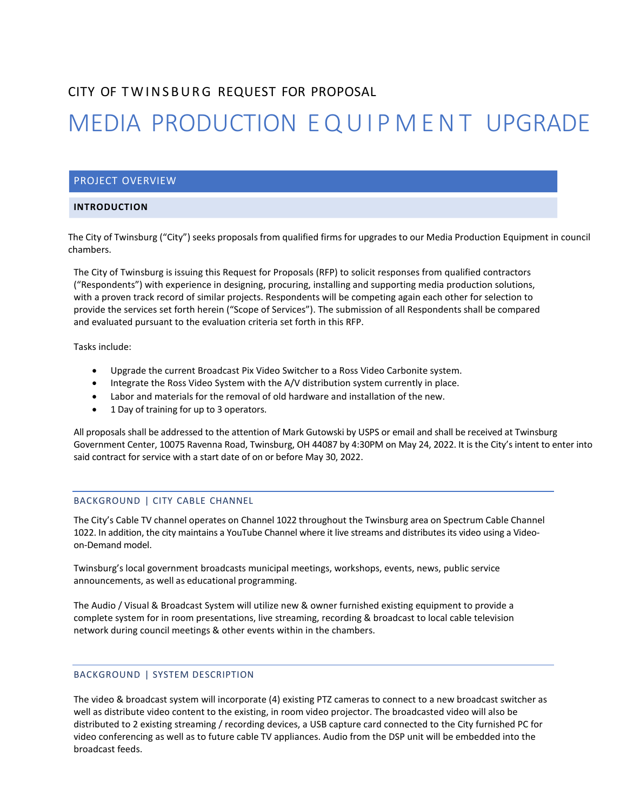## CITY OF TWINSBURG REQUEST FOR PROPOSAL

# MEDIA PRODUCTION EQUIPMENT UPGRADE

### PROJECT OVERVIEW

#### **INTRODUCTION**

 The City of Twinsburg ("City") seeks proposals from qualified firms for upgrades to our Media Production Equipment in council chambers.

The City of Twinsburg is issuing this Request for Proposals (RFP) to solicit responses from qualified contractors ("Respondents") with experience in designing, procuring, installing and supporting media production solutions, with a proven track record of similar projects. Respondents will be competing again each other for selection to provide the services set forth herein ("Scope of Services"). The submission of all Respondents shall be compared and evaluated pursuant to the evaluation criteria set forth in this RFP.

Tasks include:

- Upgrade the current Broadcast Pix Video Switcher to a Ross Video Carbonite system.
- Integrate the Ross Video System with the A/V distribution system currently in place.
- Labor and materials for the removal of old hardware and installation of the new.
- 1 Day of training for up to 3 operators.

All proposals shall be addressed to the attention of Mark Gutowski by USPS or email and shall be received at Twinsburg Government Center, 10075 Ravenna Road, Twinsburg, OH 44087 by 4:30PM on May 24, 2022. It is the City's intent to enter into said contract for service with a start date of on or before May 30, 2022.

#### BACKGROUND | CITY CABLE CHANNEL

The City's Cable TV channel operates on Channel 1022 throughout the Twinsburg area on Spectrum Cable Channel 1022. In addition, the city maintains a YouTube Channel where it live streams and distributes its video using a Videoon-Demand model.

Twinsburg's local government broadcasts municipal meetings, workshops, events, news, public service announcements, as well as educational programming.

The Audio / Visual & Broadcast System will utilize new & owner furnished existing equipment to provide a complete system for in room presentations, live streaming, recording & broadcast to local cable television network during council meetings & other events within in the chambers.

#### BACKGROUND | SYSTEM DESCRIPTION

The video & broadcast system will incorporate (4) existing PTZ cameras to connect to a new broadcast switcher as well as distribute video content to the existing, in room video projector. The broadcasted video will also be distributed to 2 existing streaming / recording devices, a USB capture card connected to the City furnished PC for video conferencing as well as to future cable TV appliances. Audio from the DSP unit will be embedded into the broadcast feeds.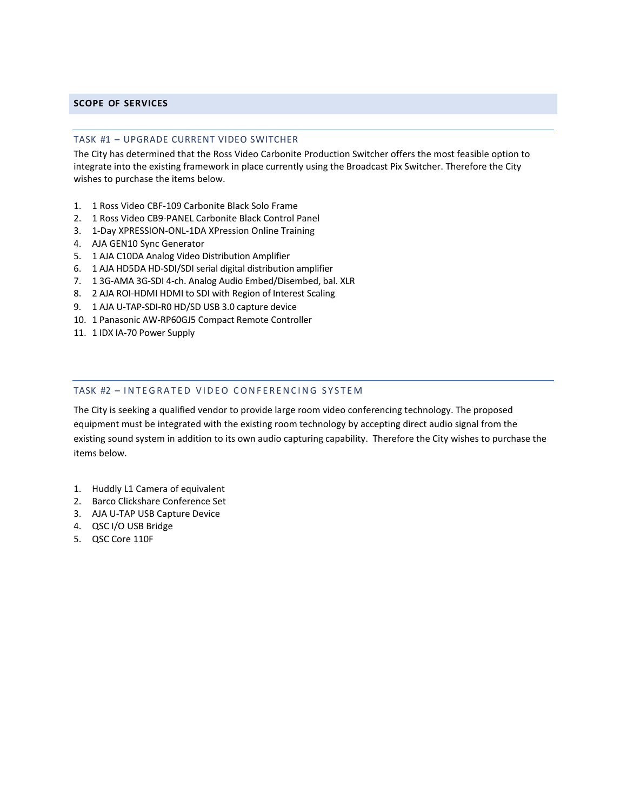#### **SCOPE OF SERVICES**

#### TASK #1 – UPGRADE CURRENT VIDEO SWITCHER

The City has determined that the Ross Video Carbonite Production Switcher offers the most feasible option to integrate into the existing framework in place currently using the Broadcast Pix Switcher. Therefore the City wishes to purchase the items below.

- 1. 1 Ross Video CBF-109 Carbonite Black Solo Frame
- 2. 1 Ross Video CB9-PANEL Carbonite Black Control Panel
- 3. 1-Day XPRESSION-ONL-1DA XPression Online Training
- 4. AJA GEN10 Sync Generator
- 5. 1 AJA C10DA Analog Video Distribution Amplifier
- 6. 1 AJA HD5DA HD-SDI/SDI serial digital distribution amplifier
- 7. 1 3G-AMA 3G-SDI 4-ch. Analog Audio Embed/Disembed, bal. XLR
- 8. 2 AJA ROI-HDMI HDMI to SDI with Region of Interest Scaling
- 9. 1 AJA U-TAP-SDI-R0 HD/SD USB 3.0 capture device
- 10. 1 Panasonic AW-RP60GJ5 Compact Remote Controller
- 11. 1 IDX IA-70 Power Supply

#### TASK #2 – INTEGRATED VIDEO CONFERENCING SYSTEM

The City is seeking a qualified vendor to provide large room video conferencing technology. The proposed equipment must be integrated with the existing room technology by accepting direct audio signal from the existing sound system in addition to its own audio capturing capability. Therefore the City wishes to purchase the items below.

- 1. Huddly L1 Camera of equivalent
- 2. Barco Clickshare Conference Set
- 3. AJA U-TAP USB Capture Device
- 4. QSC I/O USB Bridge
- 5. QSC Core 110F